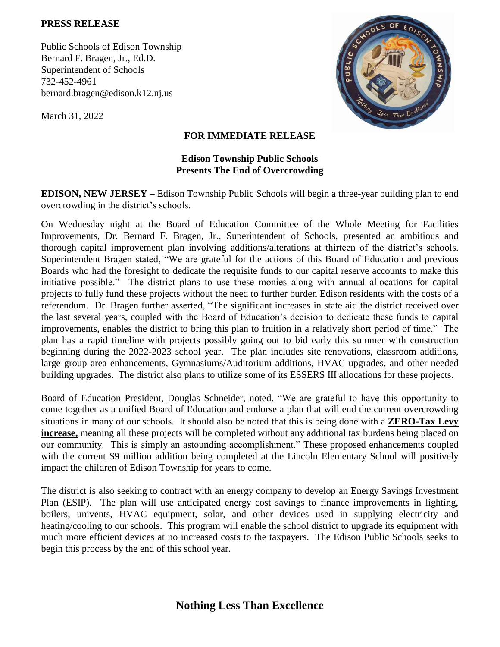## **PRESS RELEASE**

Public Schools of Edison Township Bernard F. Bragen, Jr., Ed.D. Superintendent of Schools 732-452-4961 bernard.bragen@edison.k12.nj.us

March 31, 2022



## **FOR IMMEDIATE RELEASE**

## **Edison Township Public Schools Presents The End of Overcrowding**

**EDISON, NEW JERSEY –** Edison Township Public Schools will begin a three-year building plan to end overcrowding in the district's schools.

On Wednesday night at the Board of Education Committee of the Whole Meeting for Facilities Improvements, Dr. Bernard F. Bragen, Jr., Superintendent of Schools, presented an ambitious and thorough capital improvement plan involving additions/alterations at thirteen of the district's schools. Superintendent Bragen stated, "We are grateful for the actions of this Board of Education and previous Boards who had the foresight to dedicate the requisite funds to our capital reserve accounts to make this initiative possible." The district plans to use these monies along with annual allocations for capital projects to fully fund these projects without the need to further burden Edison residents with the costs of a referendum. Dr. Bragen further asserted, "The significant increases in state aid the district received over the last several years, coupled with the Board of Education's decision to dedicate these funds to capital improvements, enables the district to bring this plan to fruition in a relatively short period of time." The plan has a rapid timeline with projects possibly going out to bid early this summer with construction beginning during the 2022-2023 school year. The plan includes site renovations, classroom additions, large group area enhancements, Gymnasiums/Auditorium additions, HVAC upgrades, and other needed building upgrades. The district also plans to utilize some of its ESSERS III allocations for these projects.

Board of Education President, Douglas Schneider, noted, "We are grateful to have this opportunity to come together as a unified Board of Education and endorse a plan that will end the current overcrowding situations in many of our schools. It should also be noted that this is being done with a **ZERO-Tax Levy increase,** meaning all these projects will be completed without any additional tax burdens being placed on our community. This is simply an astounding accomplishment." These proposed enhancements coupled with the current \$9 million addition being completed at the Lincoln Elementary School will positively impact the children of Edison Township for years to come.

The district is also seeking to contract with an energy company to develop an Energy Savings Investment Plan (ESIP). The plan will use anticipated energy cost savings to finance improvements in lighting, boilers, univents, HVAC equipment, solar, and other devices used in supplying electricity and heating/cooling to our schools. This program will enable the school district to upgrade its equipment with much more efficient devices at no increased costs to the taxpayers. The Edison Public Schools seeks to begin this process by the end of this school year.